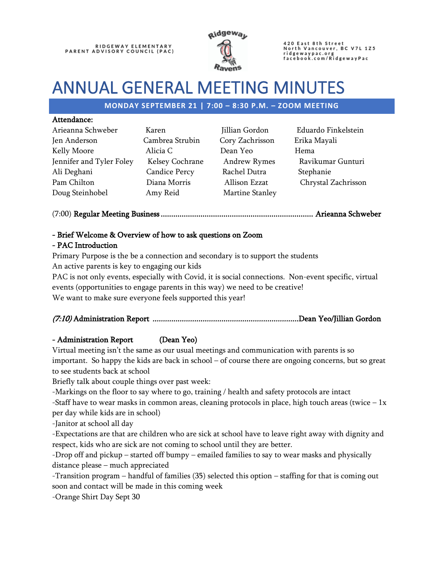

420 East 8th Street<br>North Vancouver, BC V7L 1Z5 ridgewaypac.org<br>facebook.com/RidgewayPac

# ANNUAL GENERAL MEETING MINUTES

## **MONDAY SEPTEMBER 21 | 7:00 – 8:30 P.M. – ZOOM MEETING**

#### Attendance:

| Arieanna Schweber        | Karen                | Jillian Gordon  | Edua  |
|--------------------------|----------------------|-----------------|-------|
| Jen Anderson             | Cambrea Strubin      | Cory Zachrisson | Erika |
| Kelly Moore              | Alicia C             | Dean Yeo        | Hema  |
| Jennifer and Tyler Foley | Kelsey Cochrane      | Andrew Rymes    | Ravi  |
| Ali Deghani              | <b>Candice Percy</b> | Rachel Dutra    | Stepl |
| Pam Chilton              | Diana Morris         | Allison Ezzat   | Chry  |
| Doug Steinhobel          | Amy Reid             | Martine Stanley |       |

Cambrea Strubin Cory Zachrisson Erika Mayali Candice Percy Rachel Dutra Stephanie Amy Reid Martine Stanley

Karen Marielanna Schwedon Eduardo Finkelstein Kelsey Cochrane Andrew Rymes Ravikumar Gunturi Diana Morris Allison Ezzat Chrystal Zachrisson

(7:00) Regular Meeting Business ......................................................................... Arieanna Schweber

# - Brief Welcome & Overview of how to ask questions on Zoom

## - PAC Introduction

Primary Purpose is the be a connection and secondary is to support the students An active parents is key to engaging our kids

PAC is not only events, especially with Covid, it is social connections. Non-event specific, virtual events (opportunities to engage parents in this way) we need to be creative! We want to make sure everyone feels supported this year!

# (7:10) Administration Report ...................................................................... Dean Yeo/Jillian Gordon

# - Administration Report (Dean Yeo)

Virtual meeting isn't the same as our usual meetings and communication with parents is so important. So happy the kids are back in school – of course there are ongoing concerns, but so great to see students back at school

Briefly talk about couple things over past week:

-Markings on the floor to say where to go, training / health and safety protocols are intact

-Staff have to wear masks in common areas, cleaning protocols in place, high touch areas (twice  $-1x$ ) per day while kids are in school)

-Janitor at school all day

-Expectations are that are children who are sick at school have to leave right away with dignity and respect, kids who are sick are not coming to school until they are better.

-Drop off and pickup – started off bumpy – emailed families to say to wear masks and physically distance please – much appreciated

-Transition program – handful of families (35) selected this option – staffing for that is coming out soon and contact will be made in this coming week

-Orange Shirt Day Sept 30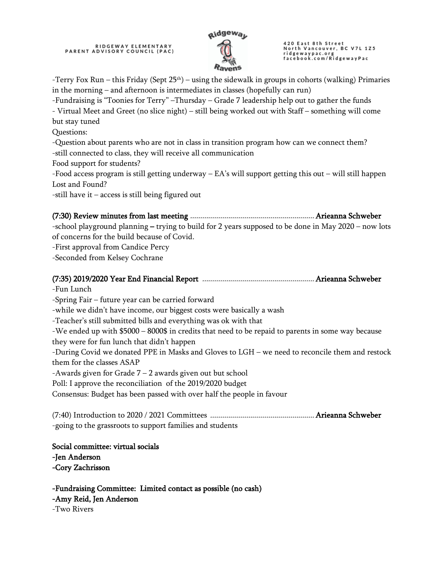

420 East 8th Street<br>North Vancouver, BC V7L 1Z5 ridgewaypac.org<br>facebook.com/RidgewayPac

-Terry Fox Run – this Friday (Sept  $25<sup>th</sup>$ ) – using the sidewalk in groups in cohorts (walking) Primaries in the morning – and afternoon is intermediates in classes (hopefully can run)

-Fundraising is "Toonies for Terry" –Thursday – Grade 7 leadership help out to gather the funds - Virtual Meet and Greet (no slice night) – still being worked out with Staff – something will come but stay tuned

Questions:

-Question about parents who are not in class in transition program how can we connect them?

-still connected to class, they will receive all communication

Food support for students?

-Food access program is still getting underway – EA's will support getting this out – will still happen Lost and Found?

-still have it – access is still being figured out

#### (7:30) Review minutes from last meeting .............................................................. Arieanna Schweber

-school playground planning – trying to build for 2 years supposed to be done in May 2020 – now lots of concerns for the build because of Covid.

-First approval from Candice Percy

-Seconded from Kelsey Cochrane

# (7:35) 2019/2020 Year End Financial Report ........................................................ Arieanna Schweber -Fun Lunch -Spring Fair – future year can be carried forward -while we didn't have income, our biggest costs were basically a wash -Teacher's still submitted bills and everything was ok with that -We ended up with \$5000 – 8000\$ in credits that need to be repaid to parents in some way because they were for fun lunch that didn't happen -During Covid we donated PPE in Masks and Gloves to LGH – we need to reconcile them and restock them for the classes ASAP -Awards given for Grade  $7 - 2$  awards given out but school Poll: I approve the reconciliation of the 2019/2020 budget Consensus: Budget has been passed with over half the people in favour (7:40) Introduction to 2020 / 2021 Committees .................................................... Arieanna Schweber

-going to the grassroots to support families and students

Social committee: virtual socials -Jen Anderson -Cory Zachrisson

-Fundraising Committee: Limited contact as possible (no cash) -Amy Reid, Jen Anderson -Two Rivers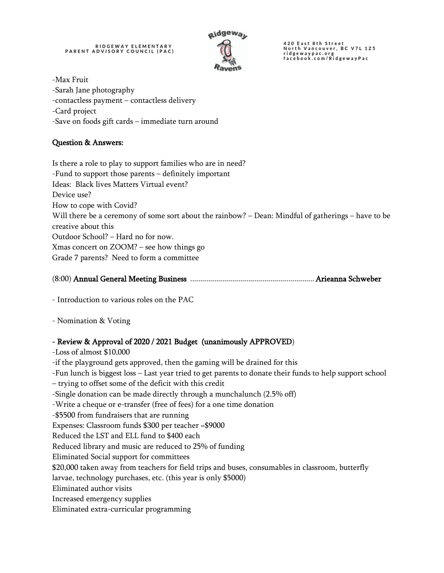

420 East 8th Street<br>North Vancouver, BC V7L 1Z5<br>ridgewaypac.org<br>facebook.com/RidgewayPac

-Max Fruit -Sarah Jane photography -contactless payment – contactless delivery -Card project -Save on foods gift cards – immediate turn around

# Question & Answers:

Is there a role to play to support families who are in need? -Fund to support those parents – definitely important Ideas: Black lives Matters Virtual event? Device use? How to cope with Covid? Will there be a ceremony of some sort about the rainbow? – Dean: Mindful of gatherings – have to be creative about this Outdoor School? – Hard no for now. Xmas concert on ZOOM? – see how things go Grade 7 parents? Need to form a committee

- Introduction to various roles on the PAC

- Nomination & Voting

#### - Review & Approval of 2020 / 2021 Budget (unanimously APPROVED)

-Loss of almost \$10,000 -if the playground gets approved, then the gaming will be drained for this -Fun lunch is biggest loss – Last year tried to get parents to donate their funds to help support school – trying to offset some of the deficit with this credit -Single donation can be made directly through a munchalunch (2.5% off) -Write a cheque or e-transfer (free of fees) for a one time donation -\$5500 from fundraisers that are running Expenses: Classroom funds \$300 per teacher =\$9000 Reduced the LST and ELL fund to \$400 each Reduced library and music are reduced to 25% of funding Eliminated Social support for committees \$20,000 taken away from teachers for field trips and buses, consumables in classroom, butterfly larvae, technology purchases, etc. (this year is only \$5000) Eliminated author visits Increased emergency supplies Eliminated extra-curricular programming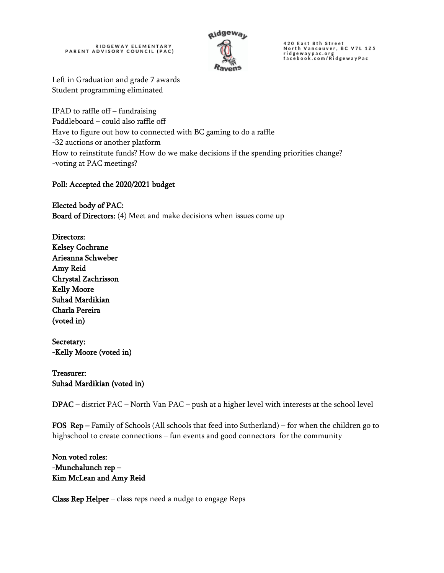

420 East 8th Street<br>North Vancouver, BC V7L 1Z5<br>ridgewaypac.org<br>facebook.com/RidgewayPac

Left in Graduation and grade 7 awards Student programming eliminated

IPAD to raffle off – fundraising Paddleboard – could also raffle off Have to figure out how to connected with BC gaming to do a raffle -32 auctions or another platform How to reinstitute funds? How do we make decisions if the spending priorities change? -voting at PAC meetings?

## Poll: Accepted the 2020/2021 budget

Elected body of PAC: Board of Directors: (4) Meet and make decisions when issues come up

Directors: Kelsey Cochrane Arieanna Schweber Amy Reid Chrystal Zachrisson Kelly Moore Suhad Mardikian Charla Pereira (voted in)

Secretary: -Kelly Moore (voted in)

Treasurer: Suhad Mardikian (voted in)

DPAC – district PAC – North Van PAC – push at a higher level with interests at the school level

FOS Rep – Family of Schools (All schools that feed into Sutherland) – for when the children go to highschool to create connections – fun events and good connectors for the community

Non voted roles: -Munchalunch rep – Kim McLean and Amy Reid

**Class Rep Helper** – class reps need a nudge to engage Reps